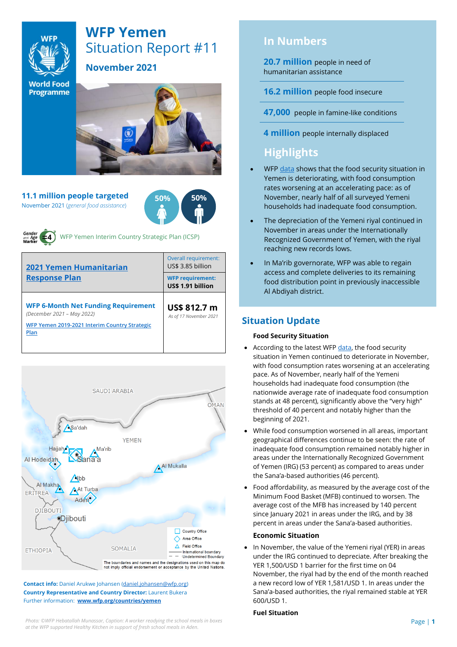

# **WFP Yemen** Situation Report #11

## **November 2021**

**World Food Programme** 



**11.1 million people targeted** November 2021 (*general food assistance*)





WFP Yemen Interim Country Strategic Plan (ICSP)

| 2021 Yemen Humanitarian<br><b>Response Plan</b>                                                                           | Overall requirement:<br>US\$ 3.85 billion    |  |  |
|---------------------------------------------------------------------------------------------------------------------------|----------------------------------------------|--|--|
|                                                                                                                           | <b>WFP requirement:</b><br>US\$ 1.91 billion |  |  |
| <b>WFP 6-Month Net Funding Requirement</b><br>(December 2021 - May 2022)<br>WFP Yemen 2019-2021 Interim Country Strategic | US\$ 812.7 m<br>As of 17 November 2021       |  |  |
| Plan                                                                                                                      |                                              |  |  |



**Contact info:** Daniel Arukwe Johansen [\(daniel.johansen@wfp.org\)](mailto:daniel.johansen@wfp.org) **Country Representative and Country Director:** Laurent Bukera Further information: **[www.wfp.org/countries/yemen](http://www.wfp.org/countries/yemen)**

# **In Numbers**

**20.7 million** people in need of humanitarian assistance

**16.2 million** people food insecure

**47,000** people in famine-like conditions

**4 million** people internally displaced

# **Highlights**

- WF[P data](https://reliefweb.int/report/yemen/wfp-yemen-food-security-update-december-2021) shows that the food security situation in Yemen is deteriorating, with food consumption rates worsening at an accelerating pace: as of November, nearly half of all surveyed Yemeni households had inadequate food consumption.
- The depreciation of the Yemeni riyal continued in November in areas under the Internationally Recognized Government of Yemen, with the riyal reaching new records lows.
- In Ma'rib governorate, WFP was able to regain access and complete deliveries to its remaining food distribution point in previously inaccessible Al Abdiyah district.

# **Situation Update**

#### **Food Security Situation**

- According to the latest WF[P data,](https://docs.wfp.org/api/documents/WFP-0000135085/download/) the food security situation in Yemen continued to deteriorate in November, with food consumption rates worsening at an accelerating pace. As of November, nearly half of the Yemeni households had inadequate food consumption (the nationwide average rate of inadequate food consumption stands at 48 percent), significantly above the "very high" threshold of 40 percent and notably higher than the beginning of 2021.
- While food consumption worsened in all areas, important geographical differences continue to be seen: the rate of inadequate food consumption remained notably higher in areas under the Internationally Recognized Government of Yemen (IRG) (53 percent) as compared to areas under the Sana'a-based authorities (46 percent).
- Food affordability, as measured by the average cost of the Minimum Food Basket (MFB) continued to worsen. The average cost of the MFB has increased by 140 percent since January 2021 in areas under the IRG, and by 38 percent in areas under the Sana'a-based authorities.

#### **Economic Situation**

• In November, the value of the Yemeni riyal (YER) in areas under the IRG continued to depreciate. After breaking the YER 1,500/USD 1 barrier for the first time on 04 November, the riyal had by the end of the month reached a new record low of YER 1,581/USD 1. In areas under the Sana'a-based authorities, the riyal remained stable at YER 600/USD 1.

#### **Fuel Situation**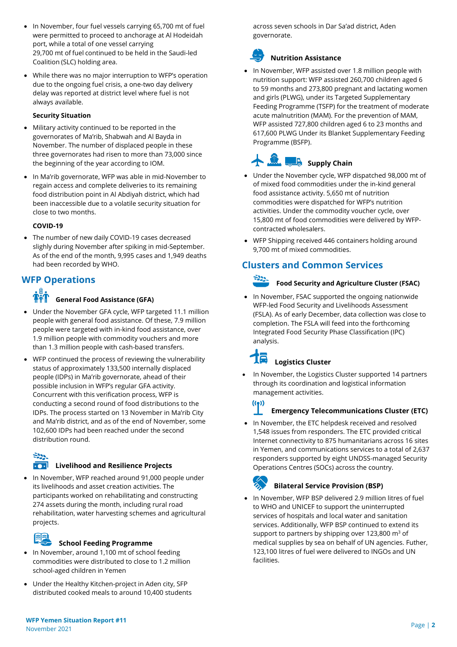- In November, four fuel vessels carrying 65,700 mt of fuel were permitted to proceed to anchorage at Al Hodeidah port, while a total of one vessel carrying 29,700 mt of fuel continued to be held in the Saudi-led Coalition (SLC) holding area.
- While there was no major interruption to WFP's operation due to the ongoing fuel crisis, a one-two day delivery delay was reported at district level where fuel is not always available.

#### **Security Situation**

- Military activity continued to be reported in the governorates of Ma'rib, Shabwah and Al Bayda in November. The number of displaced people in these three governorates had risen to more than 73,000 since the beginning of the year according to IOM.
- In Ma'rib governorate, WFP was able in mid-November to regain access and complete deliveries to its remaining food distribution point in Al Abdiyah district, which had been inaccessible due to a volatile security situation for close to two months.

#### **COVID-19**

• The number of new daily COVID-19 cases decreased slighly during November after spiking in mid-September. As of the end of the month, 9,995 cases and 1,949 deaths had been recorded by WHO.

## **WFP Operations**

### **General Food Assistance (GFA)**

- Under the November GFA cycle, WFP targeted 11.1 million people with general food assistance. Of these, 7.9 million people were targeted with in-kind food assistance, over 1.9 million people with commodity vouchers and more than 1.3 million people with cash-based transfers.
- WFP continued the process of reviewing the vulnerability status of approximately 133,500 internally displaced people (IDPs) in Ma'rib governorate, ahead of their possible inclusion in WFP's regular GFA activity. Concurrent with this verification process, WFP is conducting a second round of food distributions to the IDPs. The process started on 13 November in Ma'rib City and Ma'rib district, and as of the end of November, some 102,600 IDPs had been reached under the second distribution round.

#### $\frac{255}{255}$ **Livelihood and Resilience Projects**

• In November, WFP reached around 91,000 people under its livelihoods and asset creation activities. The participants worked on rehabilitating and constructing 274 assets during the month, including rural road rehabilitation, water harvesting schemes and agricultural projects.

### **School Feeding Programme**

- In November, around 1,100 mt of school feeding commodities were distributed to close to 1.2 million school-aged children in Yemen
- Under the Healthy Kitchen-project in Aden city, SFP distributed cooked meals to around 10,400 students

across seven schools in Dar Sa'ad district, Aden governorate.

# **Nutrition Assistance**

• In November, WFP assisted over 1.8 million people with nutrition support: WFP assisted 260,700 children aged 6 to 59 months and 273,800 pregnant and lactating women and girls (PLWG), under its Targeted Supplementary Feeding Programme (TSFP) for the treatment of moderate acute malnutrition (MAM). For the prevention of MAM, WFP assisted 727,800 children aged 6 to 23 months and 617,600 PLWG Under its Blanket Supplementary Feeding Programme (BSFP).

# **Supply Chain**

- Under the November cycle, WFP dispatched 98,000 mt of of mixed food commodities under the in-kind general food assistance activity. 5,650 mt of nutrition commodities were dispatched for WFP's nutrition activities. Under the commodity voucher cycle, over 15,800 mt of food commodities were delivered by WFPcontracted wholesalers.
- WFP Shipping received 446 containers holding around 9,700 mt of mixed commodities.

# **Clusters and Common Services**

## **Food Security and Agriculture Cluster (FSAC)**

• In November, FSAC supported the ongoing nationwide WFP-led Food Security and Livelihoods Assessment (FSLA). As of early December, data collection was close to completion. The FSLA will feed into the forthcoming Integrated Food Security Phase Classification (IPC) analysis.

#### 侣 **Logistics Cluster**

• In November, the Logistics Cluster supported 14 partners through its coordination and logistical information management activities.

#### $((q))$ **Emergency Telecommunications Cluster (ETC)**

• In November, the ETC helpdesk received and resolved 1,548 issues from responders. The ETC provided critical Internet connectivity to 875 humanitarians across 16 sites in Yemen, and communications services to a total of 2,637 responders supported by eight UNDSS-managed Security Operations Centres (SOCs) across the country.

# **Bilateral Service Provision (BSP)**

• In November, WFP BSP delivered 2.9 million litres of fuel to WHO and UNICEF to support the uninterrupted services of hospitals and local water and sanitation services. Additionally, WFP BSP continued to extend its support to partners by shipping over 123,800 m<sup>3</sup> of medical supplies by sea on behalf of UN agencies. Futher, 123,100 litres of fuel were delivered to INGOs and UN facilities.